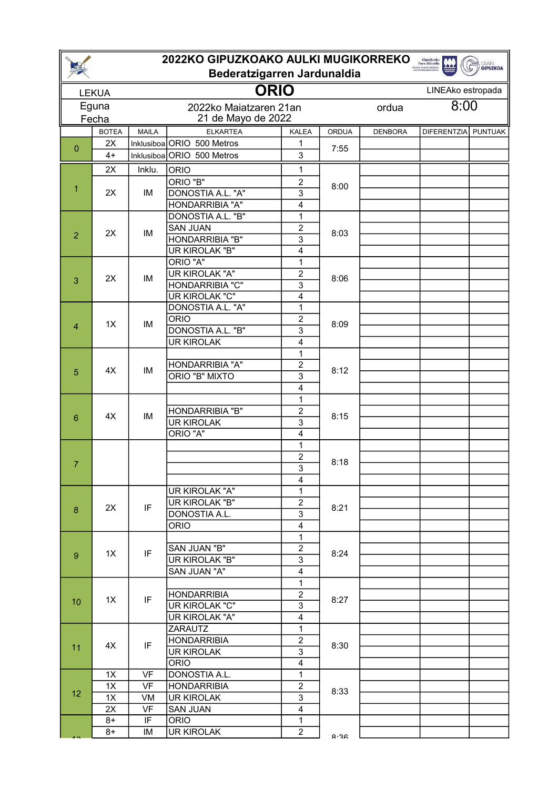| 2022KO GIPUZKOAKO AULKI MUGIKORREKO<br>Gipuzkoako<br>Foru Aldundia<br>Koton, Joseph Gazete<br><b>GRAIN</b><br><b>GIPUZKOA</b><br>Bederatzigarren Jardunaldia |              |              |                                         |                                  |       |                   |               |                |  |
|--------------------------------------------------------------------------------------------------------------------------------------------------------------|--------------|--------------|-----------------------------------------|----------------------------------|-------|-------------------|---------------|----------------|--|
|                                                                                                                                                              | <b>LEKUA</b> |              |                                         |                                  |       | LINEAko estropada |               |                |  |
|                                                                                                                                                              | Eguna        |              | <b>ORIO</b><br>2022ko Maiatzaren 21an   |                                  |       |                   | 8:00<br>ordua |                |  |
|                                                                                                                                                              | Fecha        |              | 21 de Mayo de 2022                      |                                  |       |                   |               |                |  |
|                                                                                                                                                              | <b>BOTEA</b> | <b>MAILA</b> | <b>ELKARTEA</b>                         | <b>KALEA</b>                     | ORDUA | <b>DENBORA</b>    | DIFERENTZIA   | <b>PUNTUAK</b> |  |
| 0                                                                                                                                                            | 2X           |              | Inklusiboa ORIO 500 Metros              | 1                                | 7:55  |                   |               |                |  |
|                                                                                                                                                              | $4+$         |              | Inklusiboa ORIO 500 Metros              | 3                                |       |                   |               |                |  |
|                                                                                                                                                              | 2X           | Inklu.       | <b>ORIO</b>                             | 1                                | 8:00  |                   |               |                |  |
| 1                                                                                                                                                            | 2X           | IM           | ORIO "B"                                | $\overline{c}$                   |       |                   |               |                |  |
|                                                                                                                                                              |              |              | DONOSTIA A.L. "A"                       | 3                                |       |                   |               |                |  |
|                                                                                                                                                              |              |              | HONDARRIBIA "A"                         | $\overline{\mathbf{4}}$          |       |                   |               |                |  |
|                                                                                                                                                              | 2X           |              | DONOSTIA A.L. "B"<br><b>SAN JUAN</b>    | $\mathbf{1}$<br>$\overline{2}$   | 8:03  |                   |               |                |  |
| $\overline{2}$                                                                                                                                               |              | IM           | HONDARRIBIA "B"                         | 3                                |       |                   |               |                |  |
|                                                                                                                                                              |              |              | <b>UR KIROLAK "B"</b>                   | $\overline{4}$                   |       |                   |               |                |  |
|                                                                                                                                                              |              |              | ORIO "A"                                | $\mathbf{1}$                     |       |                   |               |                |  |
|                                                                                                                                                              |              | IM           | <b>UR KIROLAK "A"</b>                   | $\overline{c}$                   | 8:06  |                   |               |                |  |
| 3                                                                                                                                                            | 2X           |              | HONDARRIBIA "C"                         | 3                                |       |                   |               |                |  |
|                                                                                                                                                              |              |              | <b>UR KIROLAK "C"</b>                   | $\overline{4}$                   |       |                   |               |                |  |
|                                                                                                                                                              |              |              | DONOSTIA A.L. "A"                       | $\mathbf{1}$                     | 8:09  |                   |               |                |  |
| $\overline{4}$                                                                                                                                               | 1X           | IM           | <b>ORIO</b>                             | $\overline{2}$                   |       |                   |               |                |  |
|                                                                                                                                                              |              |              | DONOSTIA A.L. "B"<br><b>UR KIROLAK</b>  | 3<br>$\overline{4}$              |       |                   |               |                |  |
|                                                                                                                                                              |              |              |                                         | $\mathbf{1}$                     |       |                   |               |                |  |
|                                                                                                                                                              | 4X           | IM           | HONDARRIBIA "A"                         | $\overline{c}$                   | 8:12  |                   |               |                |  |
| 5                                                                                                                                                            |              |              | ORIO "B" MIXTO                          | 3                                |       |                   |               |                |  |
|                                                                                                                                                              |              |              |                                         | $\overline{4}$                   |       |                   |               |                |  |
|                                                                                                                                                              | 4X           | IM           |                                         | 1                                | 8:15  |                   |               |                |  |
| 6                                                                                                                                                            |              |              | HONDARRIBIA "B"                         | 2                                |       |                   |               |                |  |
|                                                                                                                                                              |              |              | <b>UR KIROLAK</b>                       | $\overline{3}$                   |       |                   |               |                |  |
|                                                                                                                                                              |              |              | ORIO "A"                                | 4<br>1                           |       |                   |               |                |  |
|                                                                                                                                                              |              |              |                                         | $\overline{2}$                   | 8:18  |                   |               |                |  |
| $\overline{7}$                                                                                                                                               |              |              |                                         | 3                                |       |                   |               |                |  |
|                                                                                                                                                              |              |              |                                         | 4                                |       |                   |               |                |  |
|                                                                                                                                                              | 2X           | IF           | UR KIROLAK "A"                          | 1                                | 8:21  |                   |               |                |  |
| 8                                                                                                                                                            |              |              | UR KIROLAK "B"                          | $\overline{2}$                   |       |                   |               |                |  |
|                                                                                                                                                              |              |              | DONOSTIA A.L.                           | 3                                |       |                   |               |                |  |
|                                                                                                                                                              |              |              | <b>ORIO</b>                             | $\overline{4}$                   |       |                   |               |                |  |
|                                                                                                                                                              | 1X           | IF           | SAN JUAN "B"                            | 1<br>$\overline{2}$              | 8:24  |                   |               |                |  |
| $\overline{9}$                                                                                                                                               |              |              | UR KIROLAK "B"                          | $\overline{3}$                   |       |                   |               |                |  |
|                                                                                                                                                              |              |              | SAN JUAN "A"                            | $\overline{4}$                   |       |                   |               |                |  |
|                                                                                                                                                              |              |              |                                         | $\mathbf{1}$                     |       |                   |               |                |  |
|                                                                                                                                                              | 1X           | IF           | <b>HONDARRIBIA</b>                      | $\overline{2}$                   | 8:27  |                   |               |                |  |
| 10                                                                                                                                                           |              |              | UR KIROLAK "C"                          | $\overline{3}$                   |       |                   |               |                |  |
|                                                                                                                                                              |              |              | UR KIROLAK "A"                          | $\overline{4}$                   |       |                   |               |                |  |
| 11                                                                                                                                                           | 4X           |              | ZARAUTZ                                 | $\mathbf{1}$                     | 8:30  |                   |               |                |  |
|                                                                                                                                                              |              | IF           | <b>HONDARRIBIA</b><br><b>UR KIROLAK</b> | $\overline{2}$<br>$\overline{3}$ |       |                   |               |                |  |
|                                                                                                                                                              |              |              | <b>ORIO</b>                             | $\overline{4}$                   |       |                   |               |                |  |
|                                                                                                                                                              | 1X           | <b>VF</b>    | DONOSTIA A.L.                           | 1                                |       |                   |               |                |  |
| 12                                                                                                                                                           | 1X           | <b>VF</b>    | <b>HONDARRIBIA</b>                      | $\overline{2}$                   | 8:33  |                   |               |                |  |
|                                                                                                                                                              | 1X           | VM           | <b>UR KIROLAK</b>                       | $\overline{3}$                   |       |                   |               |                |  |
|                                                                                                                                                              | 2X           | VF           | <b>SAN JUAN</b>                         | $\overline{\mathbf{4}}$          |       |                   |               |                |  |
|                                                                                                                                                              | 8+           | IF           | <b>ORIO</b>                             | $\mathbf 1$                      |       |                   |               |                |  |
|                                                                                                                                                              | 8+           | IM           | UR KIROLAK                              | $\overline{c}$                   | 8.JR  |                   |               |                |  |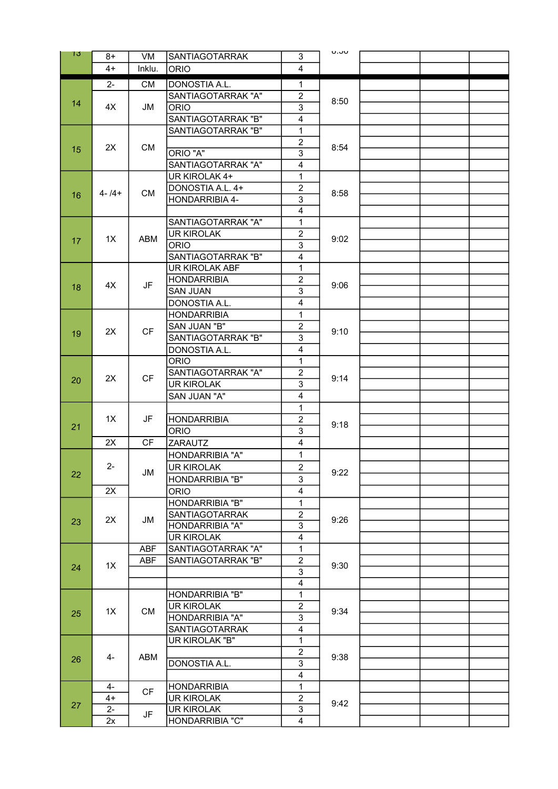| 13. | $8+$        | VM                       | SANTIAGOTARRAK                         | 3                       | ט.טט |  |  |
|-----|-------------|--------------------------|----------------------------------------|-------------------------|------|--|--|
|     | $4+$        | Inklu.                   | <b>ORIO</b>                            | 4                       |      |  |  |
|     | $2 -$       | CM                       | DONOSTIA A.L.                          | $\mathbf 1$             |      |  |  |
| 14  |             |                          | SANTIAGOTARRAK "A"                     | $\overline{c}$          |      |  |  |
|     | 4X          | JM                       | <b>ORIO</b>                            | 3                       | 8:50 |  |  |
|     |             |                          | SANTIAGOTARRAK "B"                     | $\overline{4}$          |      |  |  |
|     |             |                          | SANTIAGOTARRAK "B"                     | $\mathbf{1}$            |      |  |  |
|     |             |                          |                                        | $\boldsymbol{2}$        | 8:54 |  |  |
| 15  | 2X          | CM                       | ORIO "A"                               | 3                       |      |  |  |
|     |             |                          | SANTIAGOTARRAK "A"                     | $\overline{4}$          |      |  |  |
| 16  | $4 - 14 +$  | <b>CM</b>                | UR KIROLAK 4+                          | $\mathbf{1}$            | 8:58 |  |  |
|     |             |                          | DONOSTIA A.L. 4+                       | $\overline{2}$          |      |  |  |
|     |             |                          | HONDARRIBIA 4-                         | $\overline{3}$          |      |  |  |
|     |             |                          |                                        | $\overline{4}$          |      |  |  |
|     |             |                          | SANTIAGOTARRAK "A"                     | $\mathbf{1}$            |      |  |  |
|     | 1X          | ABM                      | <b>UR KIROLAK</b>                      | $\overline{c}$          | 9:02 |  |  |
| 17  |             |                          | <b>ORIO</b>                            | $\overline{3}$          |      |  |  |
|     |             |                          | SANTIAGOTARRAK "B"                     | $\overline{4}$          |      |  |  |
|     |             |                          | UR KIROLAK ABF                         | $\mathbf{1}$            |      |  |  |
| 18  | 4X          | JF                       | <b>HONDARRIBIA</b>                     | $\overline{c}$          | 9:06 |  |  |
|     |             |                          | <b>SAN JUAN</b>                        | $\overline{3}$          |      |  |  |
|     |             |                          | DONOSTIA A.L.                          | $\overline{\mathbf{4}}$ |      |  |  |
|     |             |                          | <b>HONDARRIBIA</b>                     | $\mathbf{1}$            |      |  |  |
| 19  | 2X          | <b>CF</b>                | SAN JUAN "B"                           | $\overline{c}$          | 9:10 |  |  |
|     |             |                          | SANTIAGOTARRAK "B"                     | $\overline{3}$          |      |  |  |
|     |             |                          | DONOSTIA A.L.                          | $\overline{4}$          |      |  |  |
|     |             |                          | <b>ORIO</b>                            | $\mathbf{1}$            |      |  |  |
| 20  | 2X          | <b>CF</b>                | SANTIAGOTARRAK "A"                     | $\overline{2}$          | 9:14 |  |  |
|     |             |                          | <b>UR KIROLAK</b>                      | 3                       |      |  |  |
|     |             |                          | SAN JUAN "A"                           | $\overline{4}$          |      |  |  |
|     |             |                          |                                        | $\mathbf{1}$            | 9:18 |  |  |
| 21  | 1X          | JF                       | <b>HONDARRIBIA</b>                     | $\overline{c}$          |      |  |  |
|     |             |                          | <b>ORIO</b>                            | $\overline{3}$          |      |  |  |
|     | 2X          | <b>CF</b>                | <b>ZARAUTZ</b>                         | $\overline{\mathbf{4}}$ |      |  |  |
|     | $2-$<br>2X  |                          | HONDARRIBIA "A"                        | $\mathbf{1}$            |      |  |  |
| 22  |             | JM                       | <b>UR KIROLAK</b>                      | $\overline{c}$          | 9:22 |  |  |
|     |             |                          | HONDARRIBIA "B"                        | 3                       |      |  |  |
|     |             |                          | <b>ORIO</b>                            | 4                       |      |  |  |
|     | 2X          | JM                       | HONDARRIBIA "B"                        | $\mathbf{1}$            |      |  |  |
| 23  |             |                          | SANTIAGOTARRAK                         | $\overline{c}$          | 9:26 |  |  |
|     |             |                          | HONDARRIBIA "A"                        | $\overline{3}$          |      |  |  |
|     |             |                          | <b>UR KIROLAK</b>                      | $\overline{\mathbf{4}}$ |      |  |  |
|     | 1X          | <b>ABF</b><br><b>ABF</b> | SANTIAGOTARRAK "A"                     | $\mathbf{1}$            | 9:30 |  |  |
| 24  |             |                          | SANTIAGOTARRAK "B"                     | $\overline{c}$          |      |  |  |
|     |             |                          |                                        | $\overline{3}$          |      |  |  |
|     |             |                          |                                        | $\overline{\mathbf{4}}$ |      |  |  |
| 25  | 1X          | <b>CM</b>                | HONDARRIBIA "B"                        | $\overline{1}$          | 9:34 |  |  |
|     |             |                          | <b>UR KIROLAK</b>                      | $\overline{c}$          |      |  |  |
|     |             |                          | HONDARRIBIA "A"                        | 3                       |      |  |  |
|     | 4-          | ABM                      | SANTIAGOTARRAK                         | $\overline{\mathbf{4}}$ |      |  |  |
| 26  |             |                          | UR KIROLAK "B"                         | $\mathbf{1}$            |      |  |  |
|     |             |                          |                                        | $\overline{c}$          | 9:38 |  |  |
|     |             |                          | DONOSTIA A.L.                          | 3                       |      |  |  |
|     |             |                          |                                        | $\overline{\mathbf{4}}$ |      |  |  |
|     | 4-          | <b>CF</b>                | <b>HONDARRIBIA</b>                     | $\mathbf 1$             |      |  |  |
| 27  | $4+$        |                          | <b>UR KIROLAK</b><br><b>UR KIROLAK</b> | $\overline{c}$<br>3     | 9:42 |  |  |
|     | $2 -$<br>2x | JF                       | HONDARRIBIA "C"                        | 4                       |      |  |  |
|     |             |                          |                                        |                         |      |  |  |